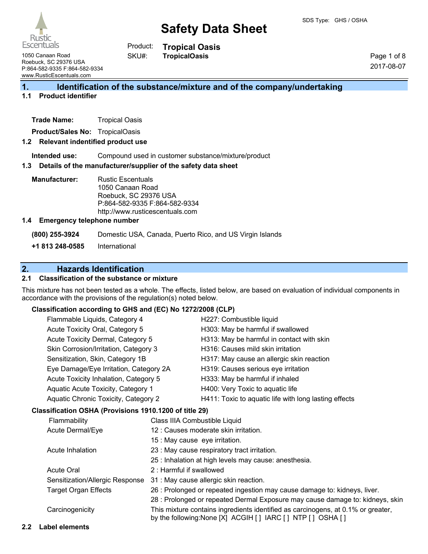

**Tropical Oasis TropicalOasis** Product: SKU#:

1050 Canaan Road Roebuck, SC 29376 USA P:864-582-9335 F:864-582-9334 www.RusticEscentuals.com

Page 1 of 8 2017-08-07

## **1. Identification of the substance/mixture and of the company/undertaking**

#### **1.1 Product identifier**

| <b>Trade Name:</b> | <b>Tropical Oasis</b> |
|--------------------|-----------------------|
|--------------------|-----------------------|

**Product/Sales No:** TropicalOasis

#### **1.2 Relevant indentified product use**

**Intended use:** Compound used in customer substance/mixture/product

#### **1.3 Details of the manufacturer/supplier of the safety data sheet**

**Manufacturer:** Rustic Escentuals 1050 Canaan Road Roebuck, SC 29376 USA P:864-582-9335 F:864-582-9334 http://www.rusticescentuals.com

#### **1.4 Emergency telephone number**

**(800) 255-3924** Domestic USA, Canada, Puerto Rico, and US Virgin Islands

**+1 813 248-0585** International

### **2. Hazards Identification**

#### **2.1 Classification of the substance or mixture**

This mixture has not been tested as a whole. The effects, listed below, are based on evaluation of individual components in accordance with the provisions of the regulation(s) noted below.

#### **Classification according to GHS and (EC) No 1272/2008 (CLP)**

|  | Flammable Liquids, Category 4<br>Acute Toxicity Oral, Category 5                                                                                              |  | H227: Combustible liquid                              |
|--|---------------------------------------------------------------------------------------------------------------------------------------------------------------|--|-------------------------------------------------------|
|  |                                                                                                                                                               |  | H303: May be harmful if swallowed                     |
|  | Acute Toxicity Dermal, Category 5                                                                                                                             |  | H313: May be harmful in contact with skin             |
|  | Skin Corrosion/Irritation, Category 3                                                                                                                         |  | H316: Causes mild skin irritation                     |
|  | Sensitization, Skin, Category 1B                                                                                                                              |  | H317: May cause an allergic skin reaction             |
|  | Eye Damage/Eye Irritation, Category 2A<br>Acute Toxicity Inhalation, Category 5<br>Aquatic Acute Toxicity, Category 1<br>Aquatic Chronic Toxicity, Category 2 |  | H319: Causes serious eye irritation                   |
|  |                                                                                                                                                               |  | H333: May be harmful if inhaled                       |
|  |                                                                                                                                                               |  | H400: Very Toxic to aquatic life                      |
|  |                                                                                                                                                               |  | H411: Toxic to aquatic life with long lasting effects |
|  | Classification OSHA (Provisions 1910.1200 of title 29)                                                                                                        |  |                                                       |
|  | Flammability                                                                                                                                                  |  | Class IIIA Combustible Liquid                         |
|  |                                                                                                                                                               |  |                                                       |

# Acute Dermal/Eye 12 : Causes moderate skin irritation.

| 15 : May cause eye irritation. |
|--------------------------------|

Acute Inhalation 23 : May cause respiratory tract irritation.

- 25 : Inhalation at high levels may cause: anesthesia.
- Acute Oral 2 : Harmful if swallowed

| Sensitization/Allergic Response 31: May cause allergic skin reaction. |
|-----------------------------------------------------------------------|
|                                                                       |

- Target Organ Effects 26 : Prolonged or repeated ingestion may cause damage to: kidneys, liver.
	- 28 : Prolonged or repeated Dermal Exposure may cause damage to: kidneys, skin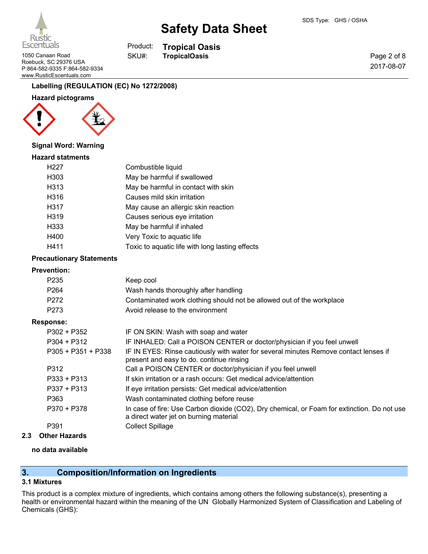

1050 Canaan Road **TropicalOasis** SKU#: TropicalOasis Roebuck, SC 29376 USA

**Tropical Oasis** Product: SKU#:

Page 2 of 8 2017-08-07

# P:864-582-9335 F:864-582-9334 www.RusticEscentuals.com

# **Labelling (REGULATION (EC) No 1272/2008)**

## **Hazard pictograms**



## **Signal Word: Warning**

### **Hazard statments**

| H227 | Combustible liquid                              |
|------|-------------------------------------------------|
| H303 | May be harmful if swallowed                     |
| H313 | May be harmful in contact with skin             |
| H316 | Causes mild skin irritation                     |
| H317 | May cause an allergic skin reaction             |
| H319 | Causes serious eye irritation                   |
| H333 | May be harmful if inhaled                       |
| H400 | Very Toxic to aquatic life                      |
| H411 | Toxic to aquatic life with long lasting effects |
|      |                                                 |

#### **Precautionary Statements**

#### **Prevention:**

| . ושעוונוטוו.        |                                                                                                                                       |
|----------------------|---------------------------------------------------------------------------------------------------------------------------------------|
| P <sub>235</sub>     | Keep cool                                                                                                                             |
| P <sub>264</sub>     | Wash hands thoroughly after handling                                                                                                  |
| P272                 | Contaminated work clothing should not be allowed out of the workplace                                                                 |
| P273                 | Avoid release to the environment                                                                                                      |
| <b>Response:</b>     |                                                                                                                                       |
| $P302 + P352$        | IF ON SKIN: Wash with soap and water                                                                                                  |
| $P304 + P312$        | IF INHALED: Call a POISON CENTER or doctor/physician if you feel unwell                                                               |
| $P305 + P351 + P338$ | IF IN EYES: Rinse cautiously with water for several minutes Remove contact lenses if<br>present and easy to do. continue rinsing      |
| P312                 | Call a POISON CENTER or doctor/physician if you feel unwell                                                                           |
| $P333 + P313$        | If skin irritation or a rash occurs: Get medical advice/attention                                                                     |
| $P337 + P313$        | If eye irritation persists: Get medical advice/attention                                                                              |
| P363                 | Wash contaminated clothing before reuse                                                                                               |
| P370 + P378          | In case of fire: Use Carbon dioxide (CO2), Dry chemical, or Foam for extinction. Do not use<br>a direct water jet on burning material |
| P391                 | <b>Collect Spillage</b>                                                                                                               |
|                      |                                                                                                                                       |

#### **2.3 Other Hazards**

#### **no data available**

# **3. Composition/Information on Ingredients**

## **3.1 Mixtures**

This product is a complex mixture of ingredients, which contains among others the following substance(s), presenting a health or environmental hazard within the meaning of the UN Globally Harmonized System of Classification and Labeling of Chemicals (GHS):

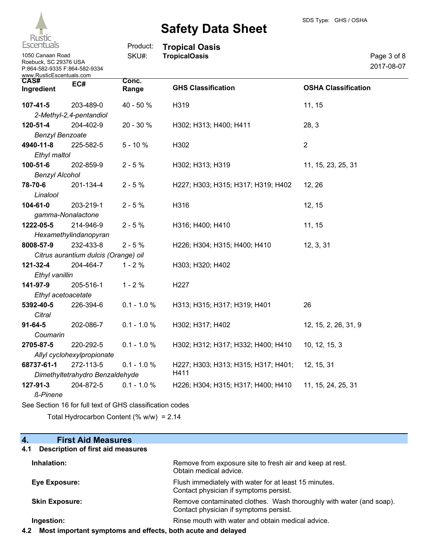

| <b>ESCENTUAIS</b>                                                                                      |                                                          | Product:       | <b>Tropical Oasis</b>               |                            |                           |
|--------------------------------------------------------------------------------------------------------|----------------------------------------------------------|----------------|-------------------------------------|----------------------------|---------------------------|
| 1050 Canaan Road<br>Roebuck, SC 29376 USA<br>P:864-582-9335 F:864-582-9334<br>www.RusticEscentuals.com |                                                          | SKU#:          | <b>TropicalOasis</b>                |                            | Page 3 of 8<br>2017-08-07 |
| CAS#<br>Ingredient                                                                                     | EC#                                                      | Conc.<br>Range | <b>GHS Classification</b>           | <b>OSHA Classification</b> |                           |
| $107 - 41 - 5$                                                                                         | 203-489-0                                                | 40 - 50 %      | H319                                | 11, 15                     |                           |
|                                                                                                        | 2-Methyl-2,4-pentandiol                                  |                |                                     |                            |                           |
| $120 - 51 - 4$                                                                                         | 204-402-9                                                | 20 - 30 %      | H302; H313; H400; H411              | 28, 3                      |                           |
| <b>Benzyl Benzoate</b>                                                                                 |                                                          |                |                                     |                            |                           |
| 4940-11-8                                                                                              | 225-582-5                                                | $5 - 10%$      | H302                                | $\overline{2}$             |                           |
| Ethyl maltol                                                                                           |                                                          |                |                                     |                            |                           |
| 100-51-6                                                                                               | 202-859-9                                                | $2 - 5 %$      | H302; H313; H319                    | 11, 15, 23, 25, 31         |                           |
| <b>Benzyl Alcohol</b>                                                                                  |                                                          |                |                                     |                            |                           |
| 78-70-6                                                                                                | 201-134-4                                                | $2 - 5%$       | H227; H303; H315; H317; H319; H402  | 12, 26                     |                           |
| Linalool                                                                                               |                                                          |                |                                     |                            |                           |
| 104-61-0                                                                                               | 203-219-1                                                | $2 - 5%$       | H316                                | 12, 15                     |                           |
|                                                                                                        | gamma-Nonalactone                                        |                |                                     |                            |                           |
| 1222-05-5                                                                                              | 214-946-9                                                | $2 - 5%$       | H316; H400; H410                    | 11, 15                     |                           |
|                                                                                                        | Hexamethylindanopyran                                    |                |                                     |                            |                           |
| 8008-57-9                                                                                              | 232-433-8                                                | $2 - 5%$       | H226; H304; H315; H400; H410        | 12, 3, 31                  |                           |
|                                                                                                        | Citrus aurantium dulcis (Orange) oil                     |                |                                     |                            |                           |
| 121-32-4                                                                                               | 204-464-7                                                | $1 - 2%$       | H303; H320; H402                    |                            |                           |
| Ethyl vanillin                                                                                         |                                                          |                |                                     |                            |                           |
| 141-97-9                                                                                               | 205-516-1                                                | $1 - 2%$       | H227                                |                            |                           |
| Ethyl acetoacetate                                                                                     |                                                          |                |                                     |                            |                           |
| 5392-40-5                                                                                              | 226-394-6                                                | $0.1 - 1.0 %$  | H313; H315; H317; H319; H401        | 26                         |                           |
| Citral                                                                                                 |                                                          |                |                                     |                            |                           |
| $91 - 64 - 5$                                                                                          | 202-086-7                                                | $0.1 - 1.0 %$  | H302; H317; H402                    | 12, 15, 2, 26, 31, 9       |                           |
| Coumarin                                                                                               |                                                          |                |                                     |                            |                           |
| 2705-87-5                                                                                              | 220-292-5                                                | $0.1 - 1.0 %$  | H302; H312; H317; H332; H400; H410  | 10, 12, 15, 3              |                           |
|                                                                                                        | Allyl cyclohexylpropionate                               |                |                                     |                            |                           |
| 68737-61-1                                                                                             | 272-113-5                                                | $0.1 - 1.0 %$  | H227; H303; H313; H315; H317; H401; | 12, 15, 31                 |                           |
|                                                                                                        | Dimethyltetrahydro Benzaldehyde                          |                | H411                                |                            |                           |
| 127-91-3                                                                                               | 204-872-5                                                | $0.1 - 1.0 %$  | H226; H304; H315; H317; H400; H410  | 11, 15, 24, 25, 31         |                           |
| <b>ß-Pinene</b>                                                                                        |                                                          |                |                                     |                            |                           |
|                                                                                                        | See Section 16 for full text of GHS classification codes |                |                                     |                            |                           |

Total Hydrocarbon Content (% w/w) = 2.14

# **4. First Aid Measures**

## **4.1 Description of first aid measures**

| Inhalation:           | Remove from exposure site to fresh air and keep at rest.<br>Obtain medical advice.                            |
|-----------------------|---------------------------------------------------------------------------------------------------------------|
| <b>Eye Exposure:</b>  | Flush immediately with water for at least 15 minutes.<br>Contact physician if symptoms persist.               |
| <b>Skin Exposure:</b> | Remove contaminated clothes. Wash thoroughly with water (and soap).<br>Contact physician if symptoms persist. |
| Ingestion:            | Rinse mouth with water and obtain medical advice.                                                             |

**4.2 Most important symptoms and effects, both acute and delayed**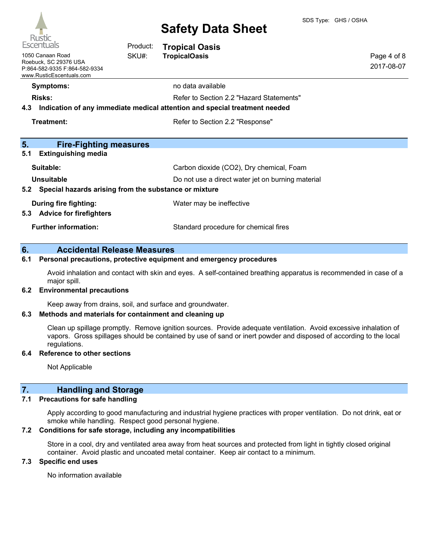

| nusuc<br><b>Escentuals</b>                                                                                      | Product: | <b>Tropical Oasis</b>                                                                                                  |                           |
|-----------------------------------------------------------------------------------------------------------------|----------|------------------------------------------------------------------------------------------------------------------------|---------------------------|
| 1050 Canaan Road<br>SKU#:<br>Roebuck, SC 29376 USA<br>P:864-582-9335 F:864-582-9334<br>www.RusticEscentuals.com |          | <b>TropicalOasis</b>                                                                                                   | Page 4 of 8<br>2017-08-07 |
| <b>Symptoms:</b>                                                                                                |          | no data available                                                                                                      |                           |
| <b>Risks:</b><br>4.3                                                                                            |          | Refer to Section 2.2 "Hazard Statements"<br>Indication of any immediate medical attention and special treatment needed |                           |
| Treatment:<br>Refer to Section 2.2 "Response"                                                                   |          |                                                                                                                        |                           |
| 5.<br><b>Fire-Fighting measures</b>                                                                             |          |                                                                                                                        |                           |
| 5.1<br><b>Extinguishing media</b>                                                                               |          |                                                                                                                        |                           |
| Suitable:                                                                                                       |          | Carbon dioxide (CO2), Dry chemical, Foam                                                                               |                           |
| Unsuitable                                                                                                      |          | Do not use a direct water jet on burning material                                                                      |                           |
| Special hazards arising from the substance or mixture<br>5.2                                                    |          |                                                                                                                        |                           |
| During fire fighting:<br>Water may be ineffective                                                               |          |                                                                                                                        |                           |
| <b>Advice for firefighters</b><br>5.3                                                                           |          |                                                                                                                        |                           |
| <b>Further information:</b>                                                                                     |          | Standard procedure for chemical fires                                                                                  |                           |

#### **6. Accidental Release Measures**

### **6.1 Personal precautions, protective equipment and emergency procedures**

Avoid inhalation and contact with skin and eyes. A self-contained breathing apparatus is recommended in case of a major spill.

#### **6.2 Environmental precautions**

Keep away from drains, soil, and surface and groundwater.

#### **6.3 Methods and materials for containment and cleaning up**

Clean up spillage promptly. Remove ignition sources. Provide adequate ventilation. Avoid excessive inhalation of vapors. Gross spillages should be contained by use of sand or inert powder and disposed of according to the local regulations.

#### **6.4 Reference to other sections**

Not Applicable

### **7. Handling and Storage**

#### **7.1 Precautions for safe handling**

Apply according to good manufacturing and industrial hygiene practices with proper ventilation. Do not drink, eat or smoke while handling. Respect good personal hygiene.

### **7.2 Conditions for safe storage, including any incompatibilities**

Store in a cool, dry and ventilated area away from heat sources and protected from light in tightly closed original container. Avoid plastic and uncoated metal container. Keep air contact to a minimum.

### **7.3 Specific end uses**

No information available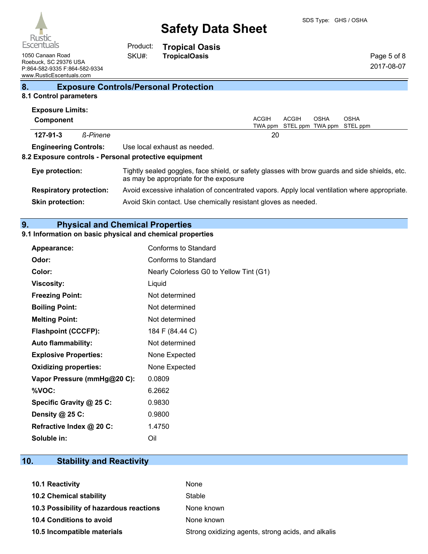

**Tropical Oasis**

Page 5 of 8 2017-08-07

1050 Canaan Road **TropicalOasis TropicalOasis** Roebuck, SC 29376 USA P:864-582-9335 F:864-582-9334 www.RusticEscentuals.com

**8. Exposure Controls/Personal Protection**

Product: SKU#:

## **8.1 Control parameters**

| <b>Exposure Limits:</b> |                                |                                                                                                                                          |
|-------------------------|--------------------------------|------------------------------------------------------------------------------------------------------------------------------------------|
| Component               |                                | <b>ACGIH</b><br>ACGIH<br><b>OSHA</b><br><b>OSHA</b><br>STEL ppm TWA ppm STEL ppm<br>TWA ppm                                              |
| $127 - 91 - 3$          | <b>ß-Pinene</b>                | 20                                                                                                                                       |
|                         | <b>Engineering Controls:</b>   | Use local exhaust as needed.<br>8.2 Exposure controls - Personal protective equipment                                                    |
| Eye protection:         |                                | Tightly sealed goggles, face shield, or safety glasses with brow guards and side shields, etc.<br>as may be appropriate for the exposure |
|                         | <b>Respiratory protection:</b> | Avoid excessive inhalation of concentrated vapors. Apply local ventilation where appropriate.                                            |
| <b>Skin protection:</b> |                                | Avoid Skin contact. Use chemically resistant gloves as needed.                                                                           |

# **9. Physical and Chemical Properties**

# **9.1 Information on basic physical and chemical properties**

| <b>Appearance:</b>           | Conforms to Standard                    |
|------------------------------|-----------------------------------------|
| Odor:                        | Conforms to Standard                    |
| Color:                       | Nearly Colorless G0 to Yellow Tint (G1) |
| <b>Viscosity:</b>            | Liquid                                  |
| <b>Freezing Point:</b>       | Not determined                          |
| <b>Boiling Point:</b>        | Not determined                          |
| <b>Melting Point:</b>        | Not determined                          |
| <b>Flashpoint (CCCFP):</b>   | 184 F (84.44 C)                         |
| <b>Auto flammability:</b>    | Not determined                          |
| <b>Explosive Properties:</b> | None Expected                           |
| <b>Oxidizing properties:</b> | None Expected                           |
| Vapor Pressure (mmHg@20 C):  | 0.0809                                  |
| %VOC:                        | 6.2662                                  |
| Specific Gravity @ 25 C:     | 0.9830                                  |
| Density @ 25 C:              | 0.9800                                  |
| Refractive Index @ 20 C:     | 1.4750                                  |
| Soluble in:                  | Oil                                     |

# **10. Stability and Reactivity**

| 10.1 Reactivity                         | None                                               |
|-----------------------------------------|----------------------------------------------------|
| <b>10.2 Chemical stability</b>          | Stable                                             |
| 10.3 Possibility of hazardous reactions | None known                                         |
| 10.4 Conditions to avoid                | None known                                         |
| 10.5 Incompatible materials             | Strong oxidizing agents, strong acids, and alkalis |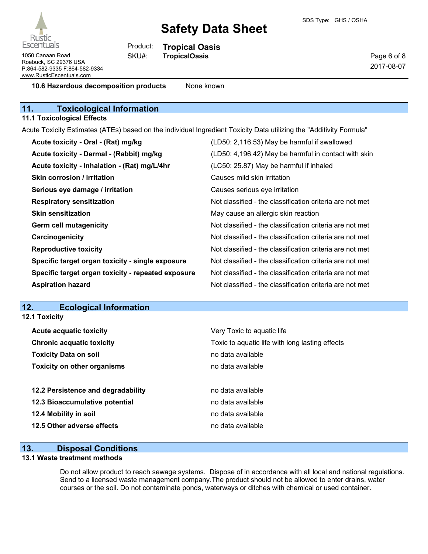

1050 Canaan Road **TropicalOasis** SKU#: TropicalOasis Roebuck, SC 29376 USA P:864-582-9335 F:864-582-9334 www.RusticEscentuals.com

**Tropical Oasis** Product: SKU#:

Page 6 of 8 2017-08-07

**10.6 Hazardous decomposition products** None known

# **11. Toxicological Information**

#### **11.1 Toxicological Effects**

Acute Toxicity Estimates (ATEs) based on the individual Ingredient Toxicity Data utilizing the "Additivity Formula"

| Acute toxicity - Oral - (Rat) mg/kg                | (LD50: 2,116.53) May be harmful if swallowed             |
|----------------------------------------------------|----------------------------------------------------------|
| Acute toxicity - Dermal - (Rabbit) mg/kg           | (LD50: 4,196.42) May be harmful in contact with skin     |
| Acute toxicity - Inhalation - (Rat) mg/L/4hr       | (LC50: 25.87) May be harmful if inhaled                  |
| Skin corrosion / irritation                        | Causes mild skin irritation                              |
| Serious eye damage / irritation                    | Causes serious eye irritation                            |
| <b>Respiratory sensitization</b>                   | Not classified - the classification criteria are not met |
| <b>Skin sensitization</b>                          | May cause an allergic skin reaction                      |
| <b>Germ cell mutagenicity</b>                      | Not classified - the classification criteria are not met |
| Carcinogenicity                                    | Not classified - the classification criteria are not met |
| <b>Reproductive toxicity</b>                       | Not classified - the classification criteria are not met |
| Specific target organ toxicity - single exposure   | Not classified - the classification criteria are not met |
| Specific target organ toxicity - repeated exposure | Not classified - the classification criteria are not met |
| <b>Aspiration hazard</b>                           | Not classified - the classification criteria are not met |

## **12. Ecological Information**

| Very Toxic to aquatic life                      |
|-------------------------------------------------|
| Toxic to aquatic life with long lasting effects |
| no data available                               |
| no data available                               |
| no data available                               |
| no data available                               |
| no data available                               |
| no data available                               |
|                                                 |

## **13. Disposal Conditions**

#### **13.1 Waste treatment methods**

Do not allow product to reach sewage systems. Dispose of in accordance with all local and national regulations. Send to a licensed waste management company.The product should not be allowed to enter drains, water courses or the soil. Do not contaminate ponds, waterways or ditches with chemical or used container.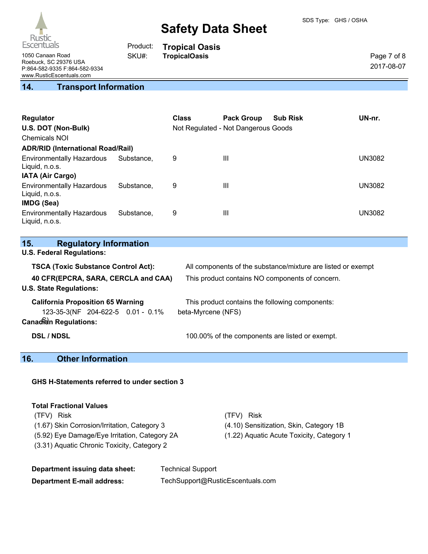

**Tropical Oasis**

Product: SKU#:

Page 7 of 8 2017-08-07

1050 Canaan Road **TropicalOasis** Roebuck, SC 29376 USA P:864-582-9335 F:864-582-9334 www.RusticEscentuals.com

# **14. Transport Information**

| Regulator<br>U.S. DOT (Non-Bulk)<br><b>Chemicals NOI</b> |            | <b>Class</b> | <b>Pack Group</b><br>Not Regulated - Not Dangerous Goods | <b>Sub Risk</b> | UN-nr.        |
|----------------------------------------------------------|------------|--------------|----------------------------------------------------------|-----------------|---------------|
| <b>ADR/RID (International Road/Rail)</b>                 |            |              |                                                          |                 |               |
| <b>Environmentally Hazardous</b><br>Liquid, n.o.s.       | Substance. | 9            | Ш                                                        |                 | UN3082        |
| <b>IATA (Air Cargo)</b>                                  |            |              |                                                          |                 |               |
| <b>Environmentally Hazardous</b><br>Liquid, n.o.s.       | Substance. | 9            | $\mathbf{III}$                                           |                 | <b>UN3082</b> |
| IMDG (Sea)                                               |            |              |                                                          |                 |               |
| <b>Environmentally Hazardous</b><br>Liquid, n.o.s.       | Substance. | 9            | Ш                                                        |                 | UN3082        |

| <b>Regulatory Information</b><br>15. |
|--------------------------------------|
|--------------------------------------|

**U.S. Federal Regulations:**

| <b>TSCA (Toxic Substance Control Act):</b>                                                                    | All components of the substance/mixture are listed or exempt          |
|---------------------------------------------------------------------------------------------------------------|-----------------------------------------------------------------------|
| 40 CFR(EPCRA, SARA, CERCLA and CAA)<br><b>U.S. State Regulations:</b>                                         | This product contains NO components of concern.                       |
| <b>California Proposition 65 Warning</b><br>123-35-3(NF 204-622-5 0.01 - 0.1%<br><b>Canadian Regulations:</b> | This product contains the following components:<br>beta-Myrcene (NFS) |
| <b>DSL / NDSL</b>                                                                                             | 100.00% of the components are listed or exempt.                       |

# **16. Other Information**

| <b>GHS H-Statements referred to under section 3</b> |
|-----------------------------------------------------|
|-----------------------------------------------------|

#### **Total Fractional Values**

| (TFV) Risk                                    | (TFV) Risk                                |
|-----------------------------------------------|-------------------------------------------|
| (1.67) Skin Corrosion/Irritation, Category 3  | (4.10) Sensitization, Skin, Category 1B   |
| (5.92) Eye Damage/Eye Irritation, Category 2A | (1.22) Aguatic Acute Toxicity, Category 1 |
| (3.31) Aquatic Chronic Toxicity, Category 2   |                                           |

| Department issuing data sheet:    | <b>Technical Support</b>         |
|-----------------------------------|----------------------------------|
| <b>Department E-mail address:</b> | TechSupport@RusticEscentuals.com |